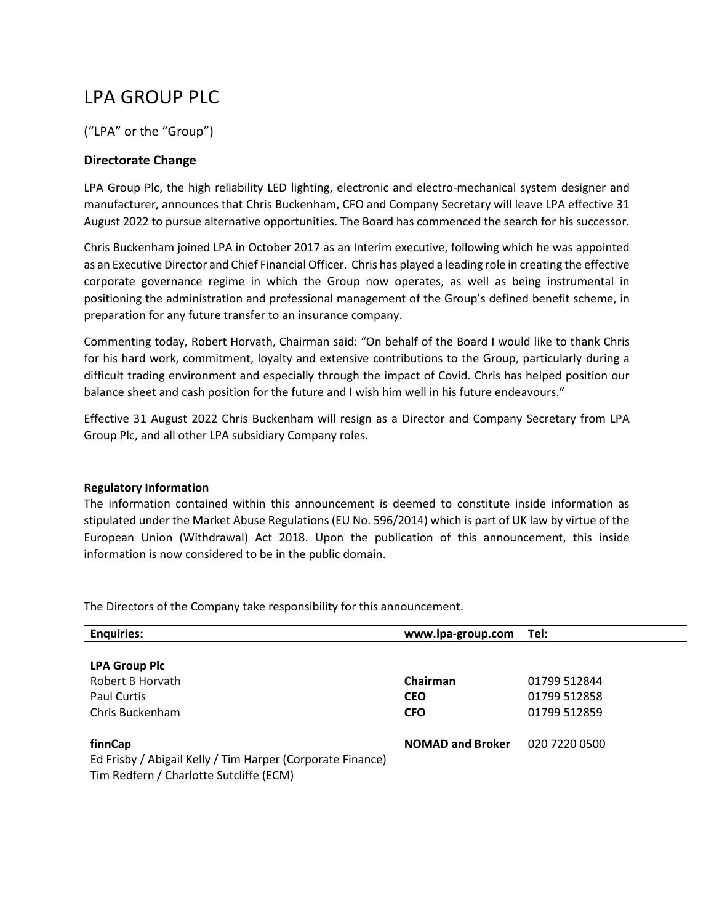## LPA GROUP PLC

("LPA" or the "Group")

## **Directorate Change**

LPA Group Plc, the high reliability LED lighting, electronic and electro-mechanical system designer and manufacturer, announces that Chris Buckenham, CFO and Company Secretary will leave LPA effective 31 August 2022 to pursue alternative opportunities. The Board has commenced the search for his successor.

Chris Buckenham joined LPA in October 2017 as an Interim executive, following which he was appointed as an Executive Director and Chief Financial Officer. Chris has played a leading role in creating the effective corporate governance regime in which the Group now operates, as well as being instrumental in positioning the administration and professional management of the Group's defined benefit scheme, in preparation for any future transfer to an insurance company.

Commenting today, Robert Horvath, Chairman said: "On behalf of the Board I would like to thank Chris for his hard work, commitment, loyalty and extensive contributions to the Group, particularly during a difficult trading environment and especially through the impact of Covid. Chris has helped position our balance sheet and cash position for the future and I wish him well in his future endeavours."

Effective 31 August 2022 Chris Buckenham will resign as a Director and Company Secretary from LPA Group Plc, and all other LPA subsidiary Company roles.

## **Regulatory Information**

The information contained within this announcement is deemed to constitute inside information as stipulated under the Market Abuse Regulations (EU No. 596/2014) which is part of UK law by virtue of the European Union (Withdrawal) Act 2018. Upon the publication of this announcement, this inside information is now considered to be in the public domain.

| <b>Enquiries:</b>                                                                                                | www.lpa-group.com       | Tel:          |
|------------------------------------------------------------------------------------------------------------------|-------------------------|---------------|
| <b>LPA Group Plc</b>                                                                                             |                         |               |
| Robert B Horvath                                                                                                 | Chairman                | 01799 512844  |
| <b>Paul Curtis</b>                                                                                               | <b>CEO</b>              | 01799 512858  |
| Chris Buckenham                                                                                                  | <b>CFO</b>              | 01799 512859  |
| finnCap<br>Ed Frisby / Abigail Kelly / Tim Harper (Corporate Finance)<br>Tim Redfern / Charlotte Sutcliffe (ECM) | <b>NOMAD and Broker</b> | 020 7220 0500 |

The Directors of the Company take responsibility for this announcement.